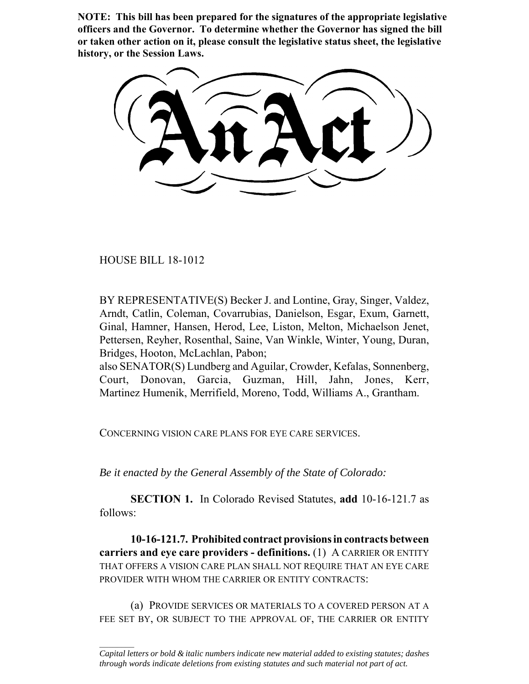**NOTE: This bill has been prepared for the signatures of the appropriate legislative officers and the Governor. To determine whether the Governor has signed the bill or taken other action on it, please consult the legislative status sheet, the legislative history, or the Session Laws.**

HOUSE BILL 18-1012

 $\frac{1}{2}$ 

BY REPRESENTATIVE(S) Becker J. and Lontine, Gray, Singer, Valdez, Arndt, Catlin, Coleman, Covarrubias, Danielson, Esgar, Exum, Garnett, Ginal, Hamner, Hansen, Herod, Lee, Liston, Melton, Michaelson Jenet, Pettersen, Reyher, Rosenthal, Saine, Van Winkle, Winter, Young, Duran, Bridges, Hooton, McLachlan, Pabon;

also SENATOR(S) Lundberg and Aguilar, Crowder, Kefalas, Sonnenberg, Court, Donovan, Garcia, Guzman, Hill, Jahn, Jones, Kerr, Martinez Humenik, Merrifield, Moreno, Todd, Williams A., Grantham.

CONCERNING VISION CARE PLANS FOR EYE CARE SERVICES.

*Be it enacted by the General Assembly of the State of Colorado:*

**SECTION 1.** In Colorado Revised Statutes, **add** 10-16-121.7 as follows:

**10-16-121.7. Prohibited contract provisions in contracts between carriers and eye care providers - definitions.** (1) A CARRIER OR ENTITY THAT OFFERS A VISION CARE PLAN SHALL NOT REQUIRE THAT AN EYE CARE PROVIDER WITH WHOM THE CARRIER OR ENTITY CONTRACTS:

(a) PROVIDE SERVICES OR MATERIALS TO A COVERED PERSON AT A FEE SET BY, OR SUBJECT TO THE APPROVAL OF, THE CARRIER OR ENTITY

*Capital letters or bold & italic numbers indicate new material added to existing statutes; dashes through words indicate deletions from existing statutes and such material not part of act.*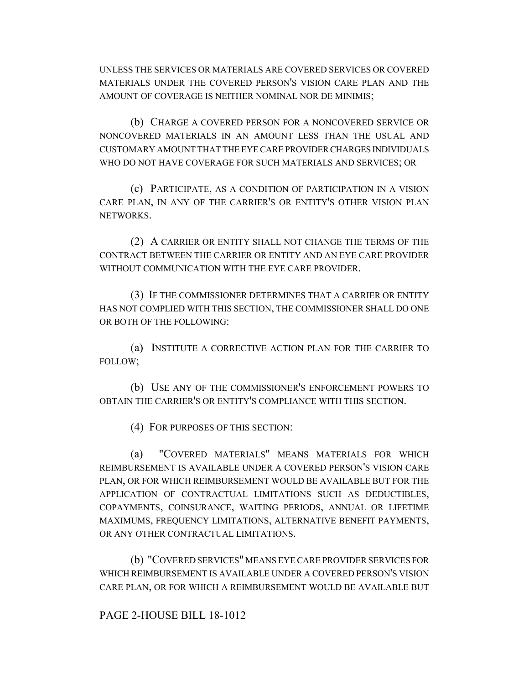UNLESS THE SERVICES OR MATERIALS ARE COVERED SERVICES OR COVERED MATERIALS UNDER THE COVERED PERSON'S VISION CARE PLAN AND THE AMOUNT OF COVERAGE IS NEITHER NOMINAL NOR DE MINIMIS;

(b) CHARGE A COVERED PERSON FOR A NONCOVERED SERVICE OR NONCOVERED MATERIALS IN AN AMOUNT LESS THAN THE USUAL AND CUSTOMARY AMOUNT THAT THE EYE CARE PROVIDER CHARGES INDIVIDUALS WHO DO NOT HAVE COVERAGE FOR SUCH MATERIALS AND SERVICES; OR

(c) PARTICIPATE, AS A CONDITION OF PARTICIPATION IN A VISION CARE PLAN, IN ANY OF THE CARRIER'S OR ENTITY'S OTHER VISION PLAN NETWORKS.

(2) A CARRIER OR ENTITY SHALL NOT CHANGE THE TERMS OF THE CONTRACT BETWEEN THE CARRIER OR ENTITY AND AN EYE CARE PROVIDER WITHOUT COMMUNICATION WITH THE EYE CARE PROVIDER.

(3) IF THE COMMISSIONER DETERMINES THAT A CARRIER OR ENTITY HAS NOT COMPLIED WITH THIS SECTION, THE COMMISSIONER SHALL DO ONE OR BOTH OF THE FOLLOWING:

(a) INSTITUTE A CORRECTIVE ACTION PLAN FOR THE CARRIER TO FOLLOW;

(b) USE ANY OF THE COMMISSIONER'S ENFORCEMENT POWERS TO OBTAIN THE CARRIER'S OR ENTITY'S COMPLIANCE WITH THIS SECTION.

(4) FOR PURPOSES OF THIS SECTION:

(a) "COVERED MATERIALS" MEANS MATERIALS FOR WHICH REIMBURSEMENT IS AVAILABLE UNDER A COVERED PERSON'S VISION CARE PLAN, OR FOR WHICH REIMBURSEMENT WOULD BE AVAILABLE BUT FOR THE APPLICATION OF CONTRACTUAL LIMITATIONS SUCH AS DEDUCTIBLES, COPAYMENTS, COINSURANCE, WAITING PERIODS, ANNUAL OR LIFETIME MAXIMUMS, FREQUENCY LIMITATIONS, ALTERNATIVE BENEFIT PAYMENTS, OR ANY OTHER CONTRACTUAL LIMITATIONS.

(b) "COVERED SERVICES" MEANS EYE CARE PROVIDER SERVICES FOR WHICH REIMBURSEMENT IS AVAILABLE UNDER A COVERED PERSON'S VISION CARE PLAN, OR FOR WHICH A REIMBURSEMENT WOULD BE AVAILABLE BUT

## PAGE 2-HOUSE BILL 18-1012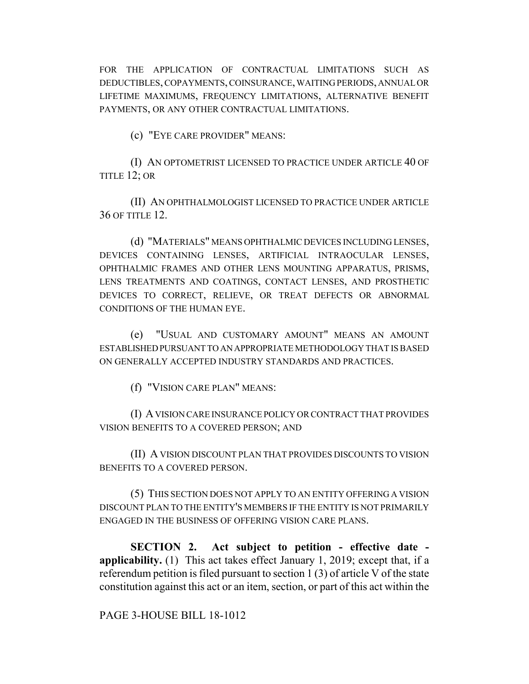FOR THE APPLICATION OF CONTRACTUAL LIMITATIONS SUCH AS DEDUCTIBLES, COPAYMENTS, COINSURANCE, WAITING PERIODS, ANNUAL OR LIFETIME MAXIMUMS, FREQUENCY LIMITATIONS, ALTERNATIVE BENEFIT PAYMENTS, OR ANY OTHER CONTRACTUAL LIMITATIONS.

(c) "EYE CARE PROVIDER" MEANS:

(I) AN OPTOMETRIST LICENSED TO PRACTICE UNDER ARTICLE 40 OF TITLE 12; OR

(II) AN OPHTHALMOLOGIST LICENSED TO PRACTICE UNDER ARTICLE 36 OF TITLE 12.

(d) "MATERIALS" MEANS OPHTHALMIC DEVICES INCLUDING LENSES, DEVICES CONTAINING LENSES, ARTIFICIAL INTRAOCULAR LENSES, OPHTHALMIC FRAMES AND OTHER LENS MOUNTING APPARATUS, PRISMS, LENS TREATMENTS AND COATINGS, CONTACT LENSES, AND PROSTHETIC DEVICES TO CORRECT, RELIEVE, OR TREAT DEFECTS OR ABNORMAL CONDITIONS OF THE HUMAN EYE.

(e) "USUAL AND CUSTOMARY AMOUNT" MEANS AN AMOUNT ESTABLISHED PURSUANT TO AN APPROPRIATE METHODOLOGY THAT IS BASED ON GENERALLY ACCEPTED INDUSTRY STANDARDS AND PRACTICES.

(f) "VISION CARE PLAN" MEANS:

(I) A VISION CARE INSURANCE POLICY OR CONTRACT THAT PROVIDES VISION BENEFITS TO A COVERED PERSON; AND

(II) A VISION DISCOUNT PLAN THAT PROVIDES DISCOUNTS TO VISION BENEFITS TO A COVERED PERSON.

(5) THIS SECTION DOES NOT APPLY TO AN ENTITY OFFERING A VISION DISCOUNT PLAN TO THE ENTITY'S MEMBERS IF THE ENTITY IS NOT PRIMARILY ENGAGED IN THE BUSINESS OF OFFERING VISION CARE PLANS.

**SECTION 2. Act subject to petition - effective date applicability.** (1) This act takes effect January 1, 2019; except that, if a referendum petition is filed pursuant to section 1 (3) of article V of the state constitution against this act or an item, section, or part of this act within the

PAGE 3-HOUSE BILL 18-1012